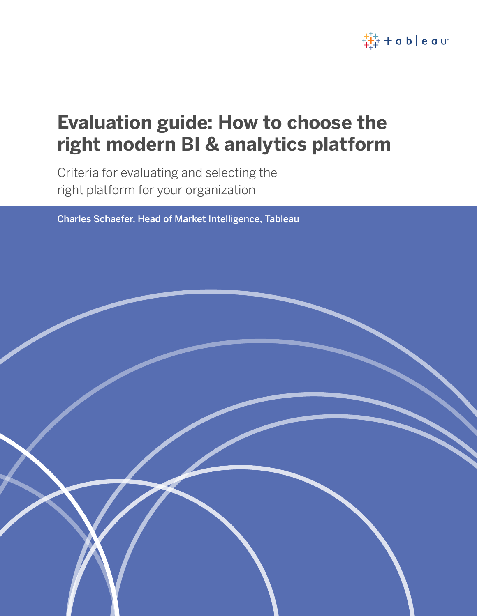

# **Evaluation guide: How to choose the right modern BI & analytics platform**

Criteria for evaluating and selecting the right platform for your organization

Charles Schaefer, Head of Market Intelligence, Tableau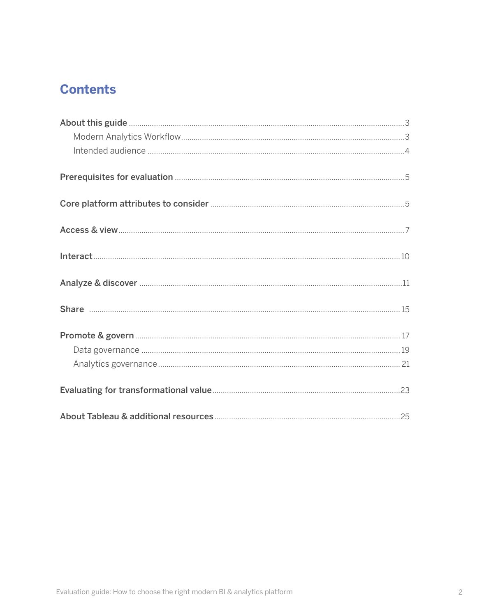# **Contents**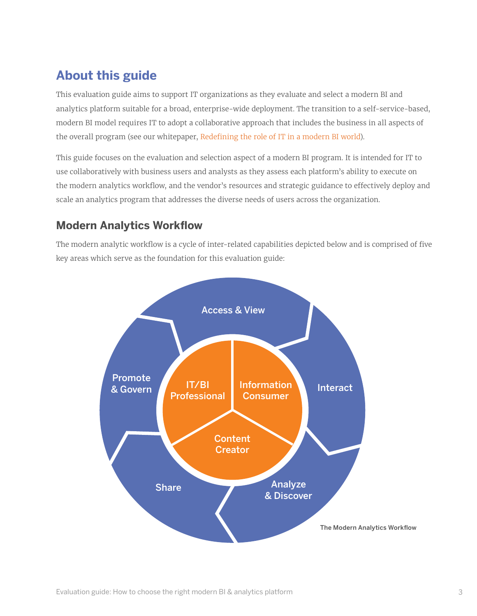# <span id="page-2-0"></span>**About this guide**

This evaluation guide aims to support IT organizations as they evaluate and select a modern BI and analytics platform suitable for a broad, enterprise-wide deployment. The transition to a self-service-based, modern BI model requires IT to adopt a collaborative approach that includes the business in all aspects of the overall program (see our whitepaper, [Redefining the role of IT in a modern BI world](http://This guide focuses on the platform evaluation and selection aspect of a modern BI program. It is intended for IT to use collaboratively with business users and analysts as they assess each platform’s ability to execute on the modern analytics workflow, and the vendor’s resources and strategic guidance to effectively deploy and scale an analytics program that addresses the diverse needs of users across the organization.)).

This guide focuses on the evaluation and selection aspect of a modern BI program. It is intended for IT to use collaboratively with business users and analysts as they assess each platform's ability to execute on the modern analytics workflow, and the vendor's resources and strategic guidance to effectively deploy and scale an analytics program that addresses the diverse needs of users across the organization.

# <span id="page-2-1"></span>**Modern Analytics Workflow**

The modern analytic workflow is a cycle of inter-related capabilities depicted below and is comprised of five key areas which serve as the foundation for this evaluation guide:

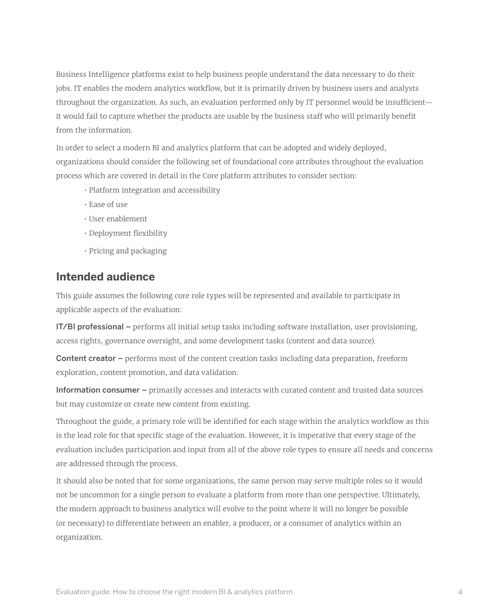Business Intelligence platforms exist to help business people understand the data necessary to do their jobs. IT enables the modern analytics workflow, but it is primarily driven by business users and analysts throughout the organization. As such, an evaluation performed only by IT personnel would be insufficient it would fail to capture whether the products are usable by the business staff who will primarily benefit from the information.

In order to select a modern BI and analytics platform that can be adopted and widely deployed, organizations should consider the following set of foundational core attributes throughout the evaluation process which are covered in detail in the Core platform attributes to consider section:

- Platform integration and accessibility
- Ease of use
- User enablement
- Deployment flexibility
- Pricing and packaging

#### <span id="page-3-0"></span>**Intended audience**

This guide assumes the following core role types will be represented and available to participate in applicable aspects of the evaluation:

IT/BI professional – performs all initial setup tasks including software installation, user provisioning, access rights, governance oversight, and some development tasks (content and data source).

Content creator – performs most of the content creation tasks including data preparation, freeform exploration, content promotion, and data validation.

Information consumer – primarily accesses and interacts with curated content and trusted data sources but may customize or create new content from existing.

Throughout the guide, a primary role will be identified for each stage within the analytics workflow as this is the lead role for that specific stage of the evaluation. However, it is imperative that every stage of the evaluation includes participation and input from all of the above role types to ensure all needs and concerns are addressed through the process.

It should also be noted that for some organizations, the same person may serve multiple roles so it would not be uncommon for a single person to evaluate a platform from more than one perspective. Ultimately, the modern approach to business analytics will evolve to the point where it will no longer be possible (or necessary) to differentiate between an enabler, a producer, or a consumer of analytics within an organization.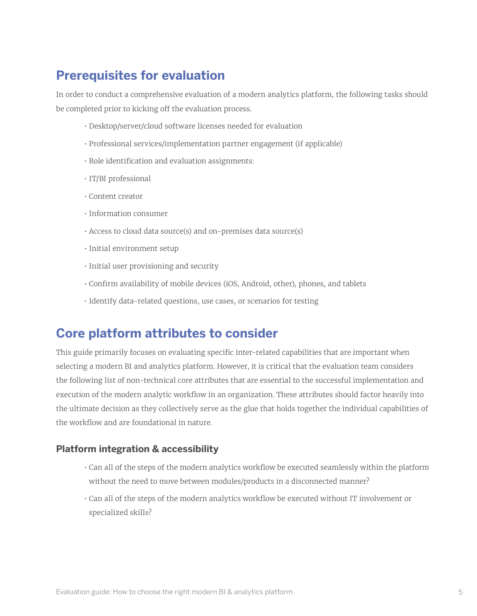# <span id="page-4-0"></span>**Prerequisites for evaluation**

In order to conduct a comprehensive evaluation of a modern analytics platform, the following tasks should be completed prior to kicking off the evaluation process.

- Desktop/server/cloud software licenses needed for evaluation
- Professional services/implementation partner engagement (if applicable)
- Role identification and evaluation assignments:
- IT/BI professional
- Content creator
- Information consumer
- Access to cloud data source(s) and on-premises data source(s)
- Initial environment setup
- Initial user provisioning and security
- Confirm availability of mobile devices (iOS, Android, other), phones, and tablets
- Identify data-related questions, use cases, or scenarios for testing

# <span id="page-4-1"></span>**Core platform attributes to consider**

This guide primarily focuses on evaluating specific inter-related capabilities that are important when selecting a modern BI and analytics platform. However, it is critical that the evaluation team considers the following list of non-technical core attributes that are essential to the successful implementation and execution of the modern analytic workflow in an organization. These attributes should factor heavily into the ultimate decision as they collectively serve as the glue that holds together the individual capabilities of the workflow and are foundational in nature.

#### **Platform integration & accessibility**

- Can all of the steps of the modern analytics workflow be executed seamlessly within the platform without the need to move between modules/products in a disconnected manner?
- Can all of the steps of the modern analytics workflow be executed without IT involvement or specialized skills?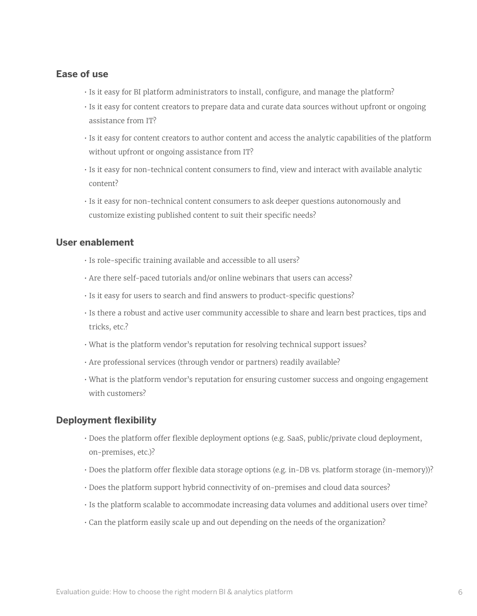#### **Ease of use**

- Is it easy for BI platform administrators to install, configure, and manage the platform?
- Is it easy for content creators to prepare data and curate data sources without upfront or ongoing assistance from IT?
- Is it easy for content creators to author content and access the analytic capabilities of the platform without upfront or ongoing assistance from IT?
- Is it easy for non-technical content consumers to find, view and interact with available analytic content?
- Is it easy for non-technical content consumers to ask deeper questions autonomously and customize existing published content to suit their specific needs?

#### **User enablement**

- Is role-specific training available and accessible to all users?
- Are there self-paced tutorials and/or online webinars that users can access?
- Is it easy for users to search and find answers to product-specific questions?
- Is there a robust and active user community accessible to share and learn best practices, tips and tricks, etc.?
- What is the platform vendor's reputation for resolving technical support issues?
- Are professional services (through vendor or partners) readily available?
- What is the platform vendor's reputation for ensuring customer success and ongoing engagement with customers?

#### **Deployment flexibility**

- Does the platform offer flexible deployment options (e.g. SaaS, public/private cloud deployment, on-premises, etc.)?
- Does the platform offer flexible data storage options (e.g. in-DB vs. platform storage (in-memory))?
- Does the platform support hybrid connectivity of on-premises and cloud data sources?
- Is the platform scalable to accommodate increasing data volumes and additional users over time?
- Can the platform easily scale up and out depending on the needs of the organization?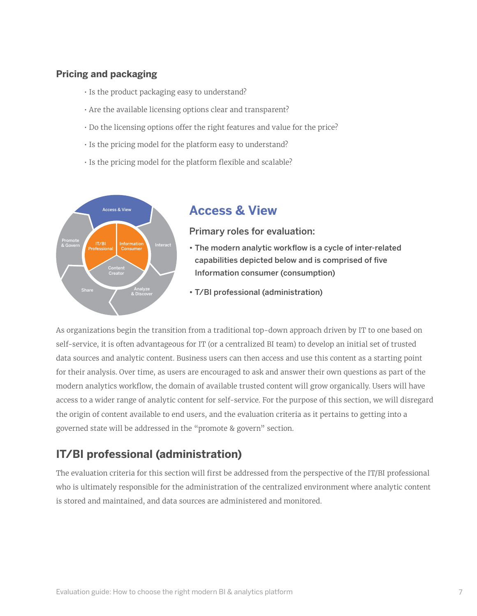#### **Pricing and packaging**

- Is the product packaging easy to understand?
- Are the available licensing options clear and transparent?
- Do the licensing options offer the right features and value for the price?
- Is the pricing model for the platform easy to understand?
- Is the pricing model for the platform flexible and scalable?



# <span id="page-6-0"></span>**Access & View**

#### Primary roles for evaluation:

- The modern analytic workflow is a cycle of inter-related capabilities depicted below and is comprised of five Information consumer (consumption)
- T/BI professional (administration)

As organizations begin the transition from a traditional top-down approach driven by IT to one based on self-service, it is often advantageous for IT (or a centralized BI team) to develop an initial set of trusted data sources and analytic content. Business users can then access and use this content as a starting point for their analysis. Over time, as users are encouraged to ask and answer their own questions as part of the modern analytics workflow, the domain of available trusted content will grow organically. Users will have access to a wider range of analytic content for self-service. For the purpose of this section, we will disregard the origin of content available to end users, and the evaluation criteria as it pertains to getting into a governed state will be addressed in the "promote & govern" section.

# **IT/BI professional (administration)**

The evaluation criteria for this section will first be addressed from the perspective of the IT/BI professional who is ultimately responsible for the administration of the centralized environment where analytic content is stored and maintained, and data sources are administered and monitored.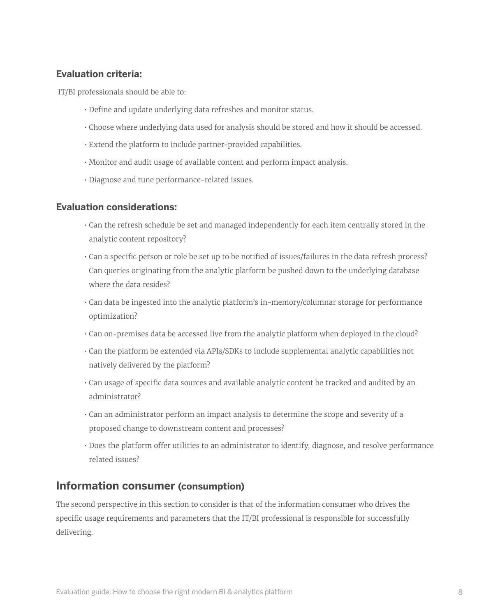#### **Evaluation criteria:**

IT/BI professionals should be able to:

- Define and update underlying data refreshes and monitor status.
- Choose where underlying data used for analysis should be stored and how it should be accessed.
- Extend the platform to include partner-provided capabilities.
- Monitor and audit usage of available content and perform impact analysis.
- Diagnose and tune performance-related issues.

#### **Evaluation considerations:**

- Can the refresh schedule be set and managed independently for each item centrally stored in the analytic content repository?
- Can a specific person or role be set up to be notified of issues/failures in the data refresh process? Can queries originating from the analytic platform be pushed down to the underlying database where the data resides?
- Can data be ingested into the analytic platform's in-memory/columnar storage for performance optimization?
- Can on-premises data be accessed live from the analytic platform when deployed in the cloud?
- Can the platform be extended via APIs/SDKs to include supplemental analytic capabilities not natively delivered by the platform?
- Can usage of specific data sources and available analytic content be tracked and audited by an administrator?
- Can an administrator perform an impact analysis to determine the scope and severity of a proposed change to downstream content and processes?
- Does the platform offer utilities to an administrator to identify, diagnose, and resolve performance related issues?

### **Information consumer (consumption)**

The second perspective in this section to consider is that of the information consumer who drives the specific usage requirements and parameters that the IT/BI professional is responsible for successfully delivering.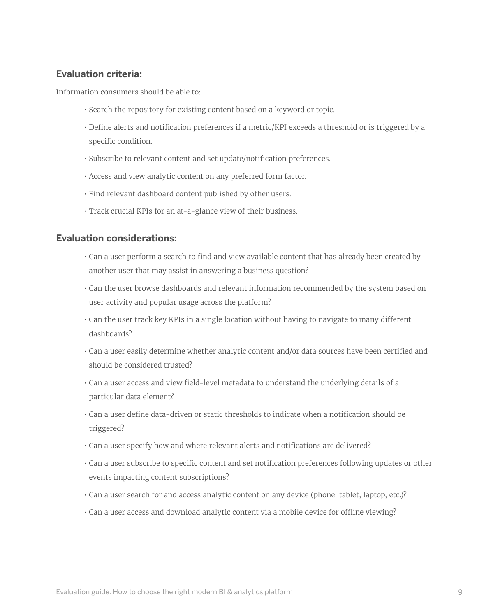#### **Evaluation criteria:**

Information consumers should be able to:

- Search the repository for existing content based on a keyword or topic.
- Define alerts and notification preferences if a metric/KPI exceeds a threshold or is triggered by a specific condition.
- Subscribe to relevant content and set update/notification preferences.
- Access and view analytic content on any preferred form factor.
- Find relevant dashboard content published by other users.
- Track crucial KPIs for an at-a-glance view of their business.

- Can a user perform a search to find and view available content that has already been created by another user that may assist in answering a business question?
- Can the user browse dashboards and relevant information recommended by the system based on user activity and popular usage across the platform?
- Can the user track key KPIs in a single location without having to navigate to many different dashboards?
- Can a user easily determine whether analytic content and/or data sources have been certified and should be considered trusted?
- Can a user access and view field-level metadata to understand the underlying details of a particular data element?
- Can a user define data-driven or static thresholds to indicate when a notification should be triggered?
- Can a user specify how and where relevant alerts and notifications are delivered?
- Can a user subscribe to specific content and set notification preferences following updates or other events impacting content subscriptions?
- Can a user search for and access analytic content on any device (phone, tablet, laptop, etc.)?
- Can a user access and download analytic content via a mobile device for offline viewing?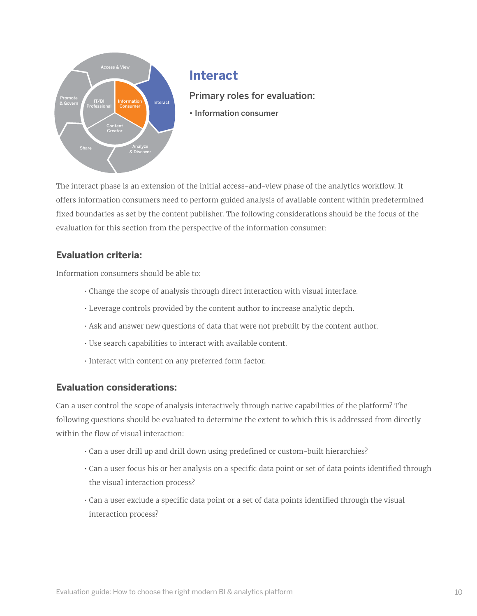

## <span id="page-9-0"></span>**Interact**

Primary roles for evaluation:

• Information consumer

The interact phase is an extension of the initial access-and-view phase of the analytics workflow. It offers information consumers need to perform guided analysis of available content within predetermined fixed boundaries as set by the content publisher. The following considerations should be the focus of the evaluation for this section from the perspective of the information consumer:

#### **Evaluation criteria:**

Information consumers should be able to:

- Change the scope of analysis through direct interaction with visual interface.
- Leverage controls provided by the content author to increase analytic depth.
- Ask and answer new questions of data that were not prebuilt by the content author.
- Use search capabilities to interact with available content.
- Interact with content on any preferred form factor.

#### **Evaluation considerations:**

Can a user control the scope of analysis interactively through native capabilities of the platform? The following questions should be evaluated to determine the extent to which this is addressed from directly within the flow of visual interaction:

- Can a user drill up and drill down using predefined or custom-built hierarchies?
- Can a user focus his or her analysis on a specific data point or set of data points identified through the visual interaction process?
- Can a user exclude a specific data point or a set of data points identified through the visual interaction process?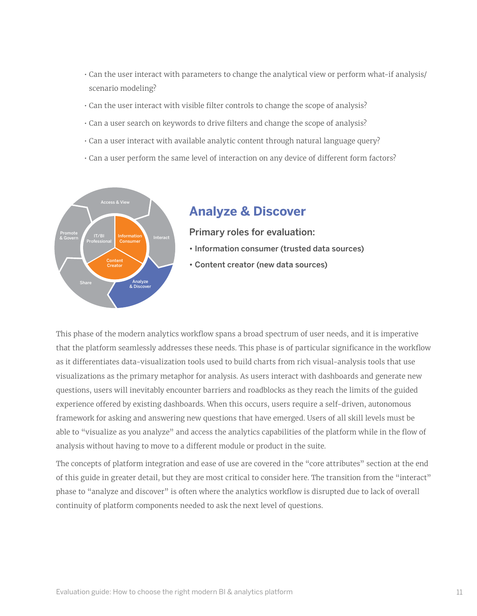- Can the user interact with parameters to change the analytical view or perform what-if analysis/ scenario modeling?
- Can the user interact with visible filter controls to change the scope of analysis?
- Can a user search on keywords to drive filters and change the scope of analysis?
- Can a user interact with available analytic content through natural language query?
- Can a user perform the same level of interaction on any device of different form factors?



## <span id="page-10-0"></span>**Analyze & Discover**

Primary roles for evaluation:

- Information consumer (trusted data sources)
- Content creator (new data sources)

This phase of the modern analytics workflow spans a broad spectrum of user needs, and it is imperative that the platform seamlessly addresses these needs. This phase is of particular significance in the workflow as it differentiates data-visualization tools used to build charts from rich visual-analysis tools that use visualizations as the primary metaphor for analysis. As users interact with dashboards and generate new questions, users will inevitably encounter barriers and roadblocks as they reach the limits of the guided experience offered by existing dashboards. When this occurs, users require a self-driven, autonomous framework for asking and answering new questions that have emerged. Users of all skill levels must be able to "visualize as you analyze" and access the analytics capabilities of the platform while in the flow of analysis without having to move to a different module or product in the suite.

The concepts of platform integration and ease of use are covered in the "core attributes" section at the end of this guide in greater detail, but they are most critical to consider here. The transition from the "interact" phase to "analyze and discover" is often where the analytics workflow is disrupted due to lack of overall continuity of platform components needed to ask the next level of questions.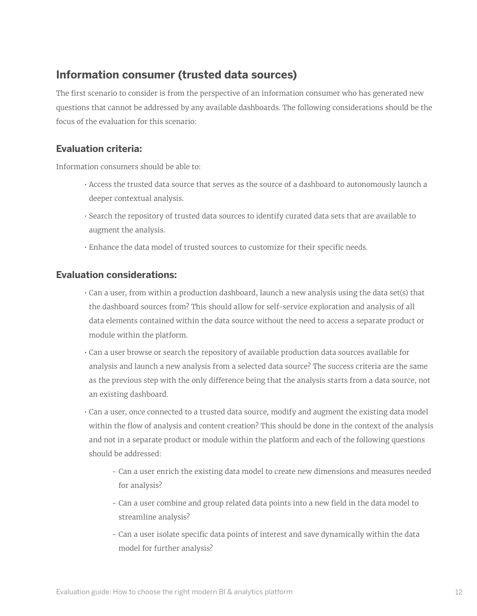# **Information consumer (trusted data sources)**

The first scenario to consider is from the perspective of an information consumer who has generated new questions that cannot be addressed by any available dashboards. The following considerations should be the focus of the evaluation for this scenario:

#### **Evaluation criteria:**

Information consumers should be able to:

- Access the trusted data source that serves as the source of a dashboard to autonomously launch a deeper contextual analysis.
- Search the repository of trusted data sources to identify curated data sets that are available to augment the analysis.
- Enhance the data model of trusted sources to customize for their specific needs.

- Can a user, from within a production dashboard, launch a new analysis using the data set(s) that the dashboard sources from? This should allow for self-service exploration and analysis of all data elements contained within the data source without the need to access a separate product or module within the platform.
- Can a user browse or search the repository of available production data sources available for analysis and launch a new analysis from a selected data source? The success criteria are the same as the previous step with the only difference being that the analysis starts from a data source, not an existing dashboard.
- Can a user, once connected to a trusted data source, modify and augment the existing data model within the flow of analysis and content creation? This should be done in the context of the analysis and not in a separate product or module within the platform and each of the following questions should be addressed:
	- Can a user enrich the existing data model to create new dimensions and measures needed for analysis?
	- Can a user combine and group related data points into a new field in the data model to streamline analysis?
	- Can a user isolate specific data points of interest and save dynamically within the data model for further analysis?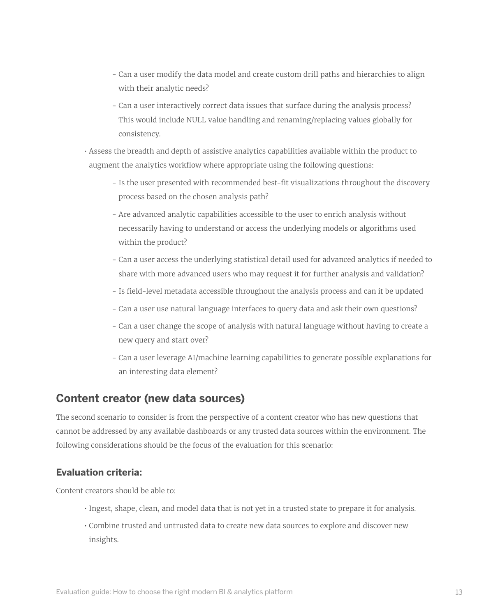- Can a user modify the data model and create custom drill paths and hierarchies to align with their analytic needs?
- Can a user interactively correct data issues that surface during the analysis process? This would include NULL value handling and renaming/replacing values globally for consistency.
- Assess the breadth and depth of assistive analytics capabilities available within the product to augment the analytics workflow where appropriate using the following questions:
	- Is the user presented with recommended best-fit visualizations throughout the discovery process based on the chosen analysis path?
	- Are advanced analytic capabilities accessible to the user to enrich analysis without necessarily having to understand or access the underlying models or algorithms used within the product?
	- Can a user access the underlying statistical detail used for advanced analytics if needed to share with more advanced users who may request it for further analysis and validation?
	- Is field-level metadata accessible throughout the analysis process and can it be updated
	- Can a user use natural language interfaces to query data and ask their own questions?
	- Can a user change the scope of analysis with natural language without having to create a new query and start over?
	- Can a user leverage AI/machine learning capabilities to generate possible explanations for an interesting data element?

### **Content creator (new data sources)**

The second scenario to consider is from the perspective of a content creator who has new questions that cannot be addressed by any available dashboards or any trusted data sources within the environment. The following considerations should be the focus of the evaluation for this scenario:

#### **Evaluation criteria:**

Content creators should be able to:

- Ingest, shape, clean, and model data that is not yet in a trusted state to prepare it for analysis.
- Combine trusted and untrusted data to create new data sources to explore and discover new insights.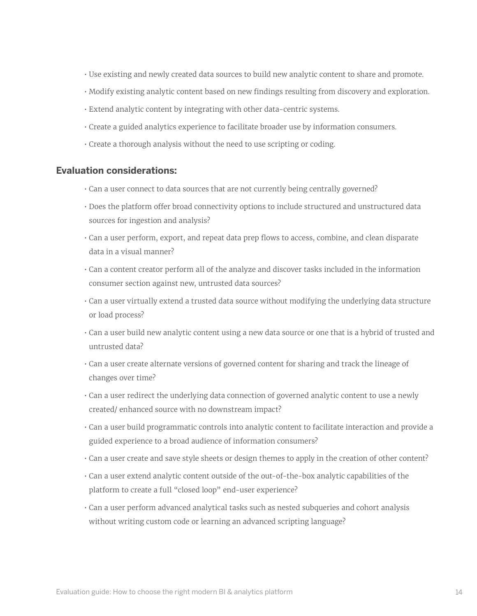- Use existing and newly created data sources to build new analytic content to share and promote.
- Modify existing analytic content based on new findings resulting from discovery and exploration.
- Extend analytic content by integrating with other data-centric systems.
- Create a guided analytics experience to facilitate broader use by information consumers.
- Create a thorough analysis without the need to use scripting or coding.

- Can a user connect to data sources that are not currently being centrally governed?
- Does the platform offer broad connectivity options to include structured and unstructured data sources for ingestion and analysis?
- Can a user perform, export, and repeat data prep flows to access, combine, and clean disparate data in a visual manner?
- Can a content creator perform all of the analyze and discover tasks included in the information consumer section against new, untrusted data sources?
- Can a user virtually extend a trusted data source without modifying the underlying data structure or load process?
- Can a user build new analytic content using a new data source or one that is a hybrid of trusted and untrusted data?
- Can a user create alternate versions of governed content for sharing and track the lineage of changes over time?
- Can a user redirect the underlying data connection of governed analytic content to use a newly created/ enhanced source with no downstream impact?
- Can a user build programmatic controls into analytic content to facilitate interaction and provide a guided experience to a broad audience of information consumers?
- Can a user create and save style sheets or design themes to apply in the creation of other content?
- Can a user extend analytic content outside of the out-of-the-box analytic capabilities of the platform to create a full "closed loop" end-user experience?
- Can a user perform advanced analytical tasks such as nested subqueries and cohort analysis without writing custom code or learning an advanced scripting language?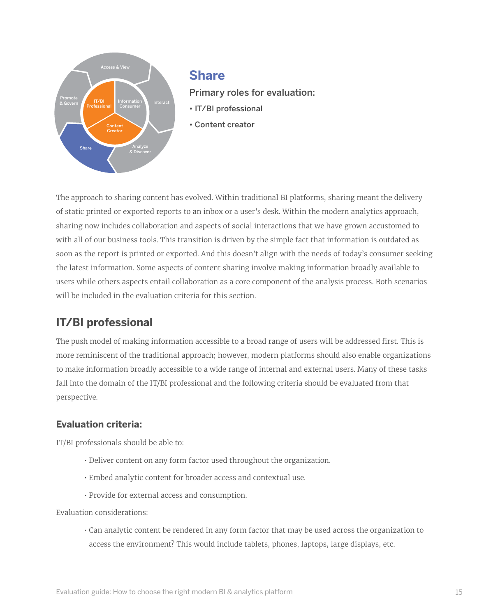

#### <span id="page-14-0"></span>**Share**

Primary roles for evaluation:

- IT/BI professional
- Content creator

The approach to sharing content has evolved. Within traditional BI platforms, sharing meant the delivery of static printed or exported reports to an inbox or a user's desk. Within the modern analytics approach, sharing now includes collaboration and aspects of social interactions that we have grown accustomed to with all of our business tools. This transition is driven by the simple fact that information is outdated as soon as the report is printed or exported. And this doesn't align with the needs of today's consumer seeking the latest information. Some aspects of content sharing involve making information broadly available to users while others aspects entail collaboration as a core component of the analysis process. Both scenarios will be included in the evaluation criteria for this section.

# **IT/BI professional**

The push model of making information accessible to a broad range of users will be addressed first. This is more reminiscent of the traditional approach; however, modern platforms should also enable organizations to make information broadly accessible to a wide range of internal and external users. Many of these tasks fall into the domain of the IT/BI professional and the following criteria should be evaluated from that perspective.

#### **Evaluation criteria:**

IT/BI professionals should be able to:

- Deliver content on any form factor used throughout the organization.
- Embed analytic content for broader access and contextual use.
- Provide for external access and consumption.

Evaluation considerations:

• Can analytic content be rendered in any form factor that may be used across the organization to access the environment? This would include tablets, phones, laptops, large displays, etc.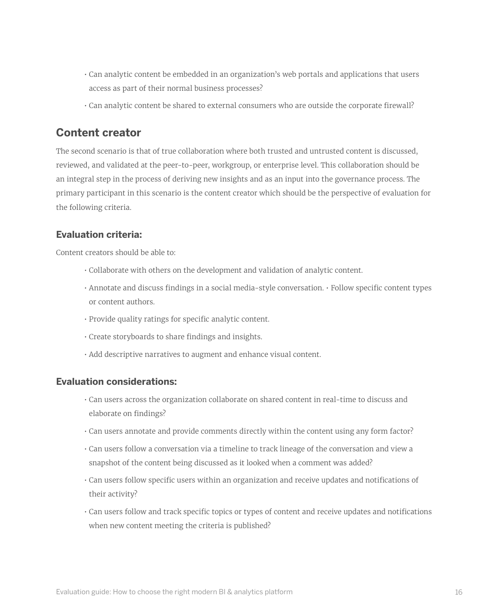- Can analytic content be embedded in an organization's web portals and applications that users access as part of their normal business processes?
- Can analytic content be shared to external consumers who are outside the corporate firewall?

### **Content creator**

The second scenario is that of true collaboration where both trusted and untrusted content is discussed, reviewed, and validated at the peer-to-peer, workgroup, or enterprise level. This collaboration should be an integral step in the process of deriving new insights and as an input into the governance process. The primary participant in this scenario is the content creator which should be the perspective of evaluation for the following criteria.

#### **Evaluation criteria:**

Content creators should be able to:

- Collaborate with others on the development and validation of analytic content.
- Annotate and discuss findings in a social media-style conversation. Follow specific content types or content authors.
- Provide quality ratings for specific analytic content.
- Create storyboards to share findings and insights.
- Add descriptive narratives to augment and enhance visual content.

- Can users across the organization collaborate on shared content in real-time to discuss and elaborate on findings?
- Can users annotate and provide comments directly within the content using any form factor?
- Can users follow a conversation via a timeline to track lineage of the conversation and view a snapshot of the content being discussed as it looked when a comment was added?
- Can users follow specific users within an organization and receive updates and notifications of their activity?
- Can users follow and track specific topics or types of content and receive updates and notifications when new content meeting the criteria is published?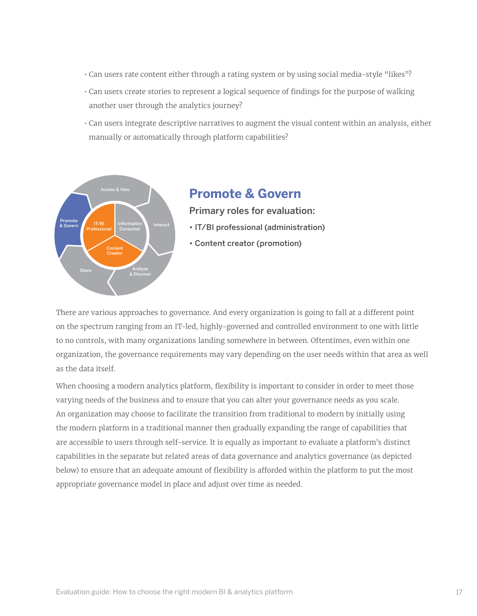- Can users rate content either through a rating system or by using social media-style "likes"?
- Can users create stories to represent a logical sequence of findings for the purpose of walking another user through the analytics journey?
- Can users integrate descriptive narratives to augment the visual content within an analysis, either manually or automatically through platform capabilities?



### <span id="page-16-0"></span>**Promote & Govern**

Primary roles for evaluation:

- IT/BI professional (administration)
- Content creator (promotion)

There are various approaches to governance. And every organization is going to fall at a different point on the spectrum ranging from an IT-led, highly-governed and controlled environment to one with little to no controls, with many organizations landing somewhere in between. Oftentimes, even within one organization, the governance requirements may vary depending on the user needs within that area as well as the data itself.

When choosing a modern analytics platform, flexibility is important to consider in order to meet those varying needs of the business and to ensure that you can alter your governance needs as you scale. An organization may choose to facilitate the transition from traditional to modern by initially using the modern platform in a traditional manner then gradually expanding the range of capabilities that are accessible to users through self-service. It is equally as important to evaluate a platform's distinct capabilities in the separate but related areas of data governance and analytics governance (as depicted below) to ensure that an adequate amount of flexibility is afforded within the platform to put the most appropriate governance model in place and adjust over time as needed.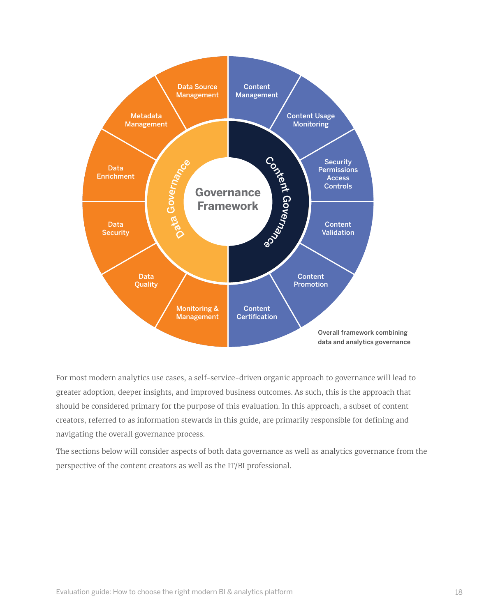

For most modern analytics use cases, a self-service-driven organic approach to governance will lead to greater adoption, deeper insights, and improved business outcomes. As such, this is the approach that should be considered primary for the purpose of this evaluation. In this approach, a subset of content creators, referred to as information stewards in this guide, are primarily responsible for defining and navigating the overall governance process.

The sections below will consider aspects of both data governance as well as analytics governance from the perspective of the content creators as well as the IT/BI professional.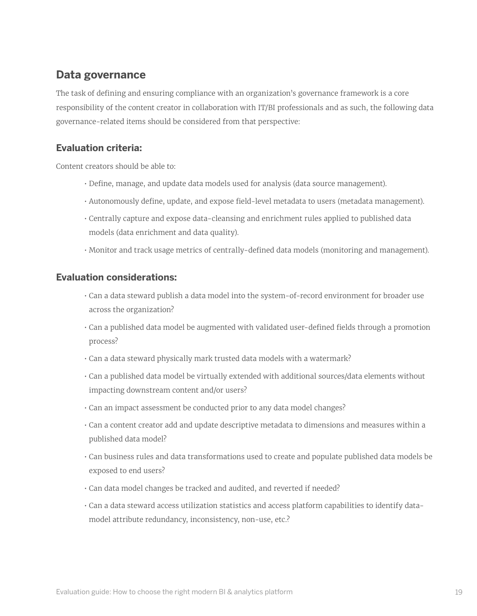## <span id="page-18-0"></span>**Data governance**

The task of defining and ensuring compliance with an organization's governance framework is a core responsibility of the content creator in collaboration with IT/BI professionals and as such, the following data governance-related items should be considered from that perspective:

#### **Evaluation criteria:**

Content creators should be able to:

- Define, manage, and update data models used for analysis (data source management).
- Autonomously define, update, and expose field-level metadata to users (metadata management).
- Centrally capture and expose data-cleansing and enrichment rules applied to published data models (data enrichment and data quality).
- Monitor and track usage metrics of centrally-defined data models (monitoring and management).

- Can a data steward publish a data model into the system-of-record environment for broader use across the organization?
- Can a published data model be augmented with validated user-defined fields through a promotion process?
- Can a data steward physically mark trusted data models with a watermark?
- Can a published data model be virtually extended with additional sources/data elements without impacting downstream content and/or users?
- Can an impact assessment be conducted prior to any data model changes?
- Can a content creator add and update descriptive metadata to dimensions and measures within a published data model?
- Can business rules and data transformations used to create and populate published data models be exposed to end users?
- Can data model changes be tracked and audited, and reverted if needed?
- Can a data steward access utilization statistics and access platform capabilities to identify datamodel attribute redundancy, inconsistency, non-use, etc.?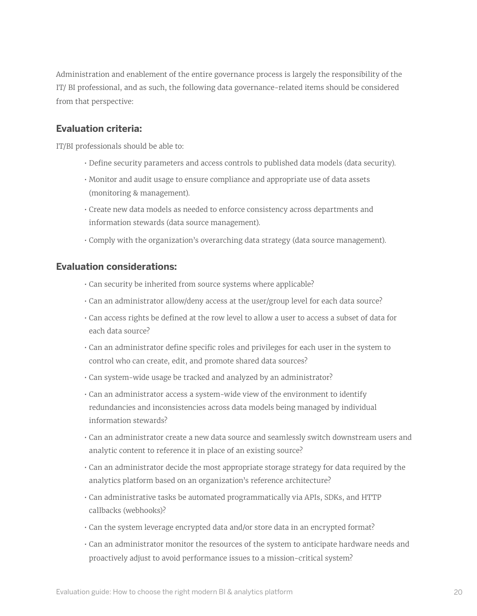Administration and enablement of the entire governance process is largely the responsibility of the IT/ BI professional, and as such, the following data governance-related items should be considered from that perspective:

#### **Evaluation criteria:**

IT/BI professionals should be able to:

- Define security parameters and access controls to published data models (data security).
- Monitor and audit usage to ensure compliance and appropriate use of data assets (monitoring & management).
- Create new data models as needed to enforce consistency across departments and information stewards (data source management).
- Comply with the organization's overarching data strategy (data source management).

- Can security be inherited from source systems where applicable?
- Can an administrator allow/deny access at the user/group level for each data source?
- Can access rights be defined at the row level to allow a user to access a subset of data for each data source?
- Can an administrator define specific roles and privileges for each user in the system to control who can create, edit, and promote shared data sources?
- Can system-wide usage be tracked and analyzed by an administrator?
- Can an administrator access a system-wide view of the environment to identify redundancies and inconsistencies across data models being managed by individual information stewards?
- Can an administrator create a new data source and seamlessly switch downstream users and analytic content to reference it in place of an existing source?
- Can an administrator decide the most appropriate storage strategy for data required by the analytics platform based on an organization's reference architecture?
- Can administrative tasks be automated programmatically via APIs, SDKs, and HTTP callbacks (webhooks)?
- Can the system leverage encrypted data and/or store data in an encrypted format?
- Can an administrator monitor the resources of the system to anticipate hardware needs and proactively adjust to avoid performance issues to a mission-critical system?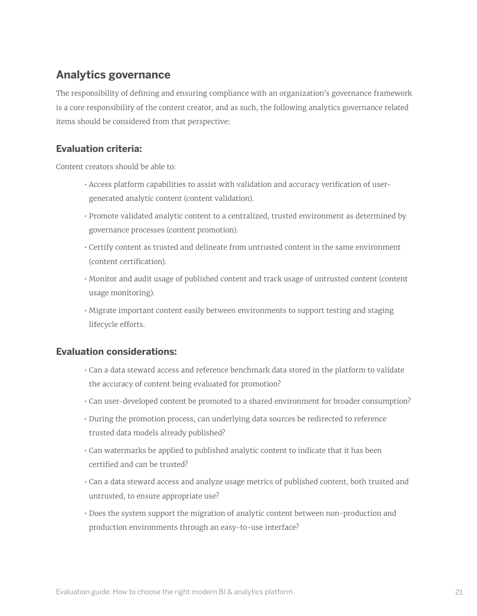# <span id="page-20-0"></span>**Analytics governance**

The responsibility of defining and ensuring compliance with an organization's governance framework is a core responsibility of the content creator, and as such, the following analytics governance related items should be considered from that perspective:

#### **Evaluation criteria:**

Content creators should be able to:

- Access platform capabilities to assist with validation and accuracy verification of usergenerated analytic content (content validation).
- Promote validated analytic content to a centralized, trusted environment as determined by governance processes (content promotion).
- Certify content as trusted and delineate from untrusted content in the same environment (content certification).
- Monitor and audit usage of published content and track usage of untrusted content (content usage monitoring).
- Migrate important content easily between environments to support testing and staging lifecycle efforts.

- Can a data steward access and reference benchmark data stored in the platform to validate the accuracy of content being evaluated for promotion?
- Can user-developed content be promoted to a shared environment for broader consumption?
- During the promotion process, can underlying data sources be redirected to reference trusted data models already published?
- Can watermarks be applied to published analytic content to indicate that it has been certified and can be trusted?
- Can a data steward access and analyze usage metrics of published content, both trusted and untrusted, to ensure appropriate use?
- Does the system support the migration of analytic content between non-production and production environments through an easy-to-use interface?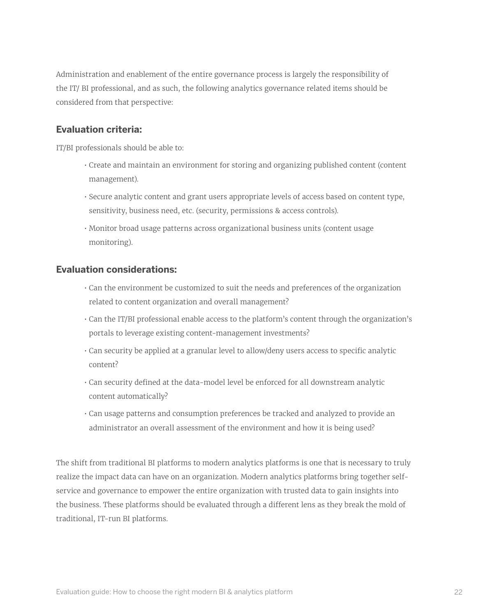Administration and enablement of the entire governance process is largely the responsibility of the IT/ BI professional, and as such, the following analytics governance related items should be considered from that perspective:

#### **Evaluation criteria:**

IT/BI professionals should be able to:

- Create and maintain an environment for storing and organizing published content (content management).
- Secure analytic content and grant users appropriate levels of access based on content type, sensitivity, business need, etc. (security, permissions & access controls).
- Monitor broad usage patterns across organizational business units (content usage monitoring).

#### **Evaluation considerations:**

- Can the environment be customized to suit the needs and preferences of the organization related to content organization and overall management?
- Can the IT/BI professional enable access to the platform's content through the organization's portals to leverage existing content-management investments?
- Can security be applied at a granular level to allow/deny users access to specific analytic content?
- Can security defined at the data-model level be enforced for all downstream analytic content automatically?
- Can usage patterns and consumption preferences be tracked and analyzed to provide an administrator an overall assessment of the environment and how it is being used?

The shift from traditional BI platforms to modern analytics platforms is one that is necessary to truly realize the impact data can have on an organization. Modern analytics platforms bring together selfservice and governance to empower the entire organization with trusted data to gain insights into the business. These platforms should be evaluated through a different lens as they break the mold of traditional, IT-run BI platforms.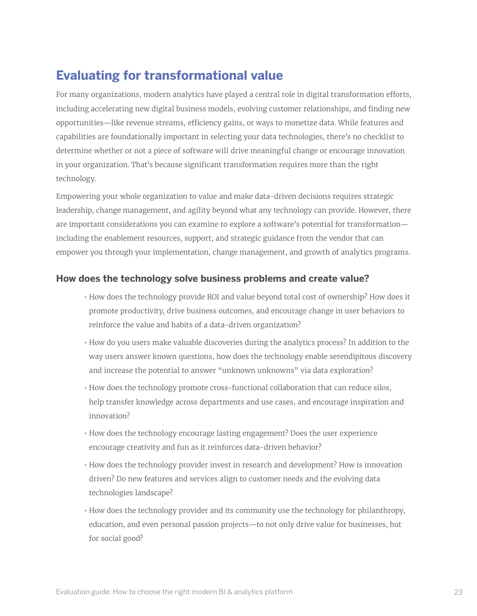# <span id="page-22-0"></span>**Evaluating for transformational value**

For many organizations, modern analytics have played a central role in digital transformation efforts, including accelerating new digital business models, evolving customer relationships, and finding new opportunities—like revenue streams, efficiency gains, or ways to monetize data. While features and capabilities are foundationally important in selecting your data technologies, there's no checklist to determine whether or not a piece of software will drive meaningful change or encourage innovation in your organization. That's because significant transformation requires more than the right technology.

Empowering your whole organization to value and make data-driven decisions requires strategic leadership, change management, and agility beyond what any technology can provide. However, there are important considerations you can examine to explore a software's potential for transformation including the enablement resources, support, and strategic guidance from the vendor that can empower you through your implementation, change management, and growth of analytics programs.

#### **How does the technology solve business problems and create value?**

- How does the technology provide ROI and value beyond total cost of ownership? How does it promote productivity, drive business outcomes, and encourage change in user behaviors to reinforce the value and habits of a data-driven organization?
- How do you users make valuable discoveries during the analytics process? In addition to the way users answer known questions, how does the technology enable serendipitous discovery and increase the potential to answer "unknown unknowns" via data exploration?
- How does the technology promote cross-functional collaboration that can reduce silos, help transfer knowledge across departments and use cases, and encourage inspiration and innovation?
- How does the technology encourage lasting engagement? Does the user experience encourage creativity and fun as it reinforces data-driven behavior?
- How does the technology provider invest in research and development? How is innovation driven? Do new features and services align to customer needs and the evolving data technologies landscape?
- How does the technology provider and its community use the technology for philanthropy, education, and even personal passion projects—to not only drive value for businesses, but for social good?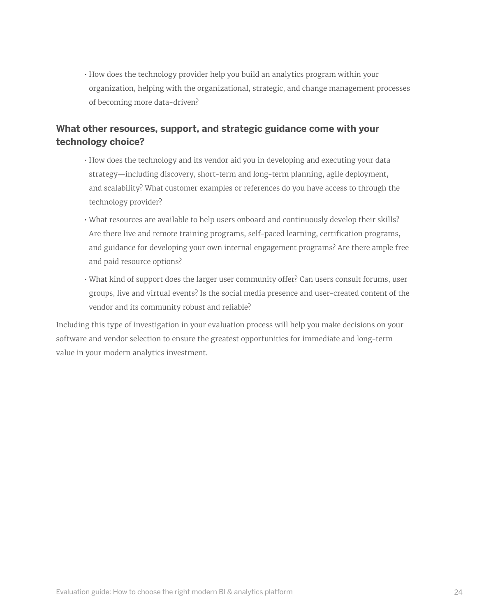• How does the technology provider help you build an analytics program within your organization, helping with the organizational, strategic, and change management processes of becoming more data-driven?

#### **What other resources, support, and strategic guidance come with your technology choice?**

- How does the technology and its vendor aid you in developing and executing your data strategy—including discovery, short-term and long-term planning, agile deployment, and scalability? What customer examples or references do you have access to through the technology provider?
- What resources are available to help users onboard and continuously develop their skills? Are there live and remote training programs, self-paced learning, certification programs, and guidance for developing your own internal engagement programs? Are there ample free and paid resource options?
- What kind of support does the larger user community offer? Can users consult forums, user groups, live and virtual events? Is the social media presence and user-created content of the vendor and its community robust and reliable?

Including this type of investigation in your evaluation process will help you make decisions on your software and vendor selection to ensure the greatest opportunities for immediate and long-term value in your modern analytics investment.